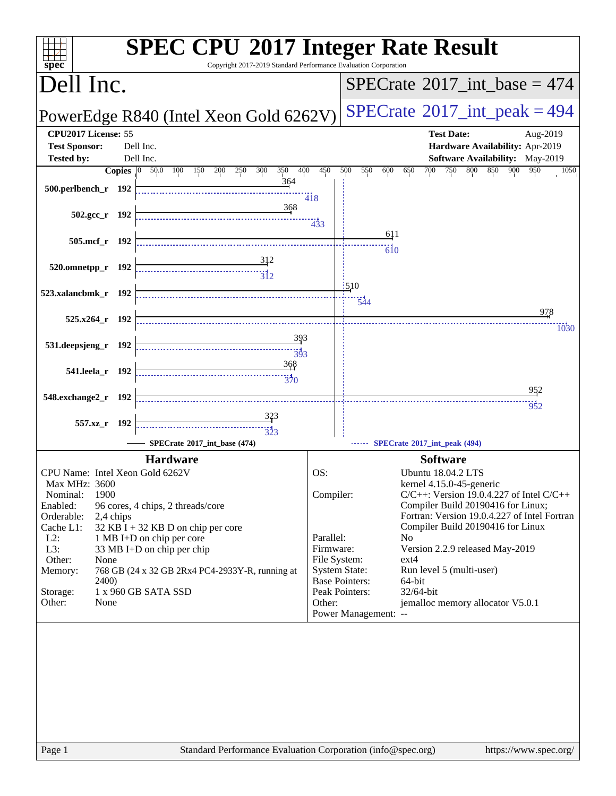| spec <sup>®</sup>                           |                                                        | <b>SPEC CPU®2017 Integer Rate Result</b><br>Copyright 2017-2019 Standard Performance Evaluation Corporation |                                         |                                                                           |  |  |  |
|---------------------------------------------|--------------------------------------------------------|-------------------------------------------------------------------------------------------------------------|-----------------------------------------|---------------------------------------------------------------------------|--|--|--|
| Dell Inc.                                   |                                                        |                                                                                                             | $SPECrate^{\circ}2017\_int\_base = 474$ |                                                                           |  |  |  |
|                                             |                                                        | PowerEdge R840 (Intel Xeon Gold 6262V)                                                                      | $SPECrate^{\circ}2017\_int\_peak = 494$ |                                                                           |  |  |  |
| CPU2017 License: 55<br><b>Test Sponsor:</b> |                                                        | Dell Inc.                                                                                                   |                                         | <b>Test Date:</b><br>Aug-2019<br>Hardware Availability: Apr-2019          |  |  |  |
| <b>Tested by:</b>                           |                                                        | Dell Inc.                                                                                                   |                                         | <b>Software Availability:</b> May-2019                                    |  |  |  |
| 500.perlbench_r 192                         | <b>Copies</b> $\begin{bmatrix} 0 & 50.0 \end{bmatrix}$ | 100 150 200 250<br>300<br>350<br>400<br>364                                                                 | 450<br>418                              | 500<br>550<br>750<br>800 850<br>900<br>950<br>1050<br>600<br>650<br>700   |  |  |  |
|                                             | $502.\text{gcc}_r$ 192                                 | 368                                                                                                         | 433                                     | <u>611</u>                                                                |  |  |  |
|                                             | 505.mcf_r 192                                          | 312                                                                                                         |                                         | 610                                                                       |  |  |  |
| 520.omnetpp_r 192                           |                                                        | $\overline{3}$ <sup>12</sup>                                                                                |                                         | 1510                                                                      |  |  |  |
| 523.xalancbmk_r 192                         |                                                        |                                                                                                             |                                         | 544<br>978                                                                |  |  |  |
|                                             | $525.x264$ r 192                                       |                                                                                                             |                                         | 1030                                                                      |  |  |  |
| 531.deepsjeng_r 192                         |                                                        | <u>393</u><br>$\overline{393}$                                                                              |                                         |                                                                           |  |  |  |
|                                             | 541.leela_r 192                                        | 368<br>$\frac{1}{370}$                                                                                      |                                         |                                                                           |  |  |  |
| 548.exchange2_r 192                         |                                                        |                                                                                                             |                                         | 952<br>952                                                                |  |  |  |
|                                             | 557.xz_r 192                                           | 323<br>$\begin{array}{c}\n\overbrace{\phantom{1}}\phantom{1}\phantom{1}\phantom{1}323\n\end{array}$         |                                         |                                                                           |  |  |  |
|                                             |                                                        | SPECrate®2017_int_base (474)                                                                                |                                         | SPECrate*2017_int_peak (494)                                              |  |  |  |
|                                             |                                                        | <b>Hardware</b>                                                                                             |                                         | <b>Software</b>                                                           |  |  |  |
| CPU Name: Intel Xeon Gold 6262V             |                                                        |                                                                                                             | OS:                                     | Ubuntu 18.04.2 LTS                                                        |  |  |  |
| Max MHz: 3600<br>Nominal:                   | 1900                                                   |                                                                                                             | Compiler:                               | kernel 4.15.0-45-generic<br>$C/C++$ : Version 19.0.4.227 of Intel $C/C++$ |  |  |  |
| Enabled:                                    |                                                        | 96 cores, 4 chips, 2 threads/core                                                                           |                                         | Compiler Build 20190416 for Linux;                                        |  |  |  |
| Orderable:                                  | 2,4 chips                                              |                                                                                                             |                                         | Fortran: Version 19.0.4.227 of Intel Fortran                              |  |  |  |
| Cache L1:<br>$L2$ :                         |                                                        | $32$ KB I + 32 KB D on chip per core<br>1 MB I+D on chip per core                                           | Parallel:                               | Compiler Build 20190416 for Linux<br>No                                   |  |  |  |
| L3:                                         |                                                        | 33 MB I+D on chip per chip                                                                                  | Firmware:                               | Version 2.2.9 released May-2019                                           |  |  |  |
| Other:<br>Memory:                           | None                                                   | 768 GB (24 x 32 GB 2Rx4 PC4-2933Y-R, running at                                                             | File System:                            | $ext{4}$<br><b>System State:</b><br>Run level 5 (multi-user)              |  |  |  |
|                                             | 2400)                                                  |                                                                                                             |                                         | <b>Base Pointers:</b><br>64-bit                                           |  |  |  |
| Storage:<br>Other:                          | None                                                   | 1 x 960 GB SATA SSD                                                                                         | Other:                                  | Peak Pointers:<br>$32/64$ -bit<br>jemalloc memory allocator V5.0.1        |  |  |  |
|                                             |                                                        |                                                                                                             |                                         | Power Management: --                                                      |  |  |  |
|                                             |                                                        |                                                                                                             |                                         |                                                                           |  |  |  |
|                                             |                                                        |                                                                                                             |                                         |                                                                           |  |  |  |
|                                             |                                                        |                                                                                                             |                                         |                                                                           |  |  |  |
|                                             |                                                        |                                                                                                             |                                         |                                                                           |  |  |  |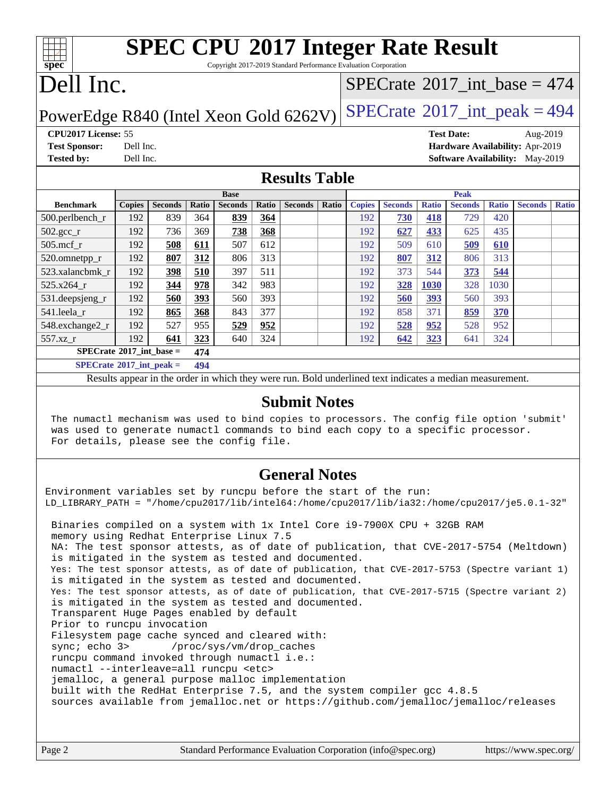# **[spec](http://www.spec.org/)**

# **[SPEC CPU](http://www.spec.org/auto/cpu2017/Docs/result-fields.html#SPECCPU2017IntegerRateResult)[2017 Integer Rate Result](http://www.spec.org/auto/cpu2017/Docs/result-fields.html#SPECCPU2017IntegerRateResult)**

Copyright 2017-2019 Standard Performance Evaluation Corporation

### Dell Inc.

### $SPECrate$ <sup>®</sup>[2017\\_int\\_base =](http://www.spec.org/auto/cpu2017/Docs/result-fields.html#SPECrate2017intbase) 474

### PowerEdge R840 (Intel Xeon Gold  $6262V$ ) [SPECrate](http://www.spec.org/auto/cpu2017/Docs/result-fields.html#SPECrate2017intpeak)®[2017\\_int\\_peak = 4](http://www.spec.org/auto/cpu2017/Docs/result-fields.html#SPECrate2017intpeak)94

**[CPU2017 License:](http://www.spec.org/auto/cpu2017/Docs/result-fields.html#CPU2017License)** 55 **[Test Date:](http://www.spec.org/auto/cpu2017/Docs/result-fields.html#TestDate)** Aug-2019 **[Test Sponsor:](http://www.spec.org/auto/cpu2017/Docs/result-fields.html#TestSponsor)** Dell Inc. **[Hardware Availability:](http://www.spec.org/auto/cpu2017/Docs/result-fields.html#HardwareAvailability)** Apr-2019 **[Tested by:](http://www.spec.org/auto/cpu2017/Docs/result-fields.html#Testedby)** Dell Inc. **[Software Availability:](http://www.spec.org/auto/cpu2017/Docs/result-fields.html#SoftwareAvailability)** May-2019

### **[Results Table](http://www.spec.org/auto/cpu2017/Docs/result-fields.html#ResultsTable)**

|                                     | <b>Base</b>   |                |       |                |       | <b>Peak</b>    |       |               |                |              |                |              |                |              |
|-------------------------------------|---------------|----------------|-------|----------------|-------|----------------|-------|---------------|----------------|--------------|----------------|--------------|----------------|--------------|
| <b>Benchmark</b>                    | <b>Copies</b> | <b>Seconds</b> | Ratio | <b>Seconds</b> | Ratio | <b>Seconds</b> | Ratio | <b>Copies</b> | <b>Seconds</b> | <b>Ratio</b> | <b>Seconds</b> | <b>Ratio</b> | <b>Seconds</b> | <b>Ratio</b> |
| $500.$ perlbench_r                  | 192           | 839            | 364   | 839            | 364   |                |       | 192           | 730            | 418          | 729            | 420          |                |              |
| $502.\text{gcc}$ _r                 | 192           | 736            | 369   | 738            | 368   |                |       | 192           | 627            | 433          | 625            | 435          |                |              |
| $505$ .mcf r                        | 192           | 508            | 611   | 507            | 612   |                |       | 192           | 509            | 610          | 509            | 610          |                |              |
| 520.omnetpp_r                       | 192           | 807            | 312   | 806            | 313   |                |       | 192           | 807            | 312          | 806            | 313          |                |              |
| 523.xalancbmk r                     | 192           | 398            | 510   | 397            | 511   |                |       | 192           | 373            | 544          | 373            | 544          |                |              |
| 525.x264 r                          | 192           | 344            | 978   | 342            | 983   |                |       | 192           | 328            | 1030         | 328            | 1030         |                |              |
| 531.deepsjeng_r                     | 192           | 560            | 393   | 560            | 393   |                |       | 192           | 560            | 393          | 560            | 393          |                |              |
| 541.leela r                         | 192           | 865            | 368   | 843            | 377   |                |       | 192           | 858            | 371          | 859            | <b>370</b>   |                |              |
| 548.exchange2_r                     | 192           | 527            | 955   | 529            | 952   |                |       | 192           | 528            | 952          | 528            | 952          |                |              |
| 557.xz                              | 192           | 641            | 323   | 640            | 324   |                |       | 192           | 642            | 323          | 641            | 324          |                |              |
| $SPECrate^{\circ}2017\_int\_base =$ |               |                | 474   |                |       |                |       |               |                |              |                |              |                |              |
| $SPECrate^{\circ}2017\_int\_peak =$ |               |                | 494   |                |       |                |       |               |                |              |                |              |                |              |

Results appear in the [order in which they were run](http://www.spec.org/auto/cpu2017/Docs/result-fields.html#RunOrder). Bold underlined text [indicates a median measurement](http://www.spec.org/auto/cpu2017/Docs/result-fields.html#Median).

### **[Submit Notes](http://www.spec.org/auto/cpu2017/Docs/result-fields.html#SubmitNotes)**

 The numactl mechanism was used to bind copies to processors. The config file option 'submit' was used to generate numactl commands to bind each copy to a specific processor. For details, please see the config file.

### **[General Notes](http://www.spec.org/auto/cpu2017/Docs/result-fields.html#GeneralNotes)**

Environment variables set by runcpu before the start of the run: LD\_LIBRARY\_PATH = "/home/cpu2017/lib/intel64:/home/cpu2017/lib/ia32:/home/cpu2017/je5.0.1-32"

 Binaries compiled on a system with 1x Intel Core i9-7900X CPU + 32GB RAM memory using Redhat Enterprise Linux 7.5 NA: The test sponsor attests, as of date of publication, that CVE-2017-5754 (Meltdown) is mitigated in the system as tested and documented. Yes: The test sponsor attests, as of date of publication, that CVE-2017-5753 (Spectre variant 1) is mitigated in the system as tested and documented. Yes: The test sponsor attests, as of date of publication, that CVE-2017-5715 (Spectre variant 2) is mitigated in the system as tested and documented. Transparent Huge Pages enabled by default Prior to runcpu invocation Filesystem page cache synced and cleared with: sync; echo 3> /proc/sys/vm/drop\_caches runcpu command invoked through numactl i.e.: numactl --interleave=all runcpu <etc> jemalloc, a general purpose malloc implementation built with the RedHat Enterprise 7.5, and the system compiler gcc 4.8.5 sources available from jemalloc.net or <https://github.com/jemalloc/jemalloc/releases>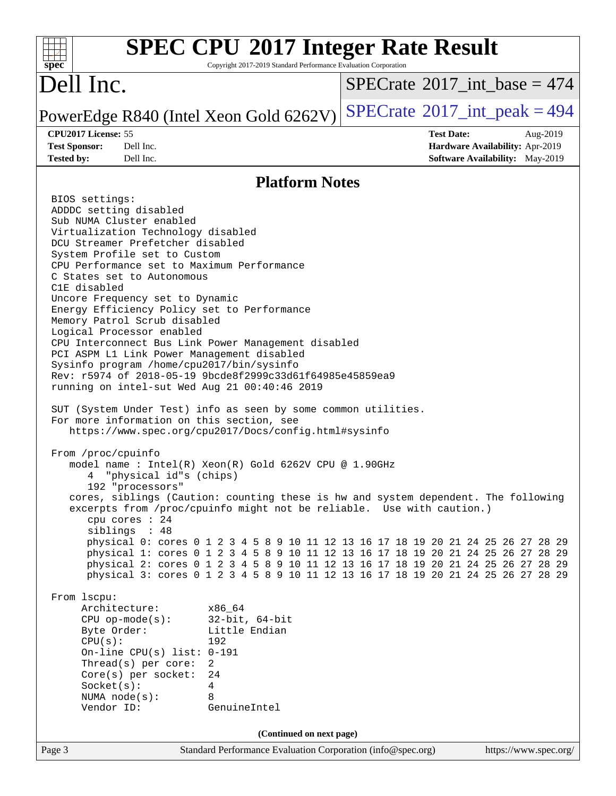#### **[SPEC CPU](http://www.spec.org/auto/cpu2017/Docs/result-fields.html#SPECCPU2017IntegerRateResult)[2017 Integer Rate Result](http://www.spec.org/auto/cpu2017/Docs/result-fields.html#SPECCPU2017IntegerRateResult)**  $+\ +$ **[spec](http://www.spec.org/)** Copyright 2017-2019 Standard Performance Evaluation Corporation Dell Inc.  $SPECTate$ <sup>®</sup>[2017\\_int\\_base =](http://www.spec.org/auto/cpu2017/Docs/result-fields.html#SPECrate2017intbase) 474 PowerEdge R840 (Intel Xeon Gold  $6262V$ ) [SPECrate](http://www.spec.org/auto/cpu2017/Docs/result-fields.html#SPECrate2017intpeak)<sup>®</sup>[2017\\_int\\_peak = 4](http://www.spec.org/auto/cpu2017/Docs/result-fields.html#SPECrate2017intpeak)94 **[CPU2017 License:](http://www.spec.org/auto/cpu2017/Docs/result-fields.html#CPU2017License)** 55 **[Test Date:](http://www.spec.org/auto/cpu2017/Docs/result-fields.html#TestDate)** Aug-2019 **[Test Sponsor:](http://www.spec.org/auto/cpu2017/Docs/result-fields.html#TestSponsor)** Dell Inc. **[Hardware Availability:](http://www.spec.org/auto/cpu2017/Docs/result-fields.html#HardwareAvailability)** Apr-2019 **[Tested by:](http://www.spec.org/auto/cpu2017/Docs/result-fields.html#Testedby)** Dell Inc. **[Software Availability:](http://www.spec.org/auto/cpu2017/Docs/result-fields.html#SoftwareAvailability)** May-2019 **[Platform Notes](http://www.spec.org/auto/cpu2017/Docs/result-fields.html#PlatformNotes)** BIOS settings: ADDDC setting disabled Sub NUMA Cluster enabled Virtualization Technology disabled DCU Streamer Prefetcher disabled System Profile set to Custom CPU Performance set to Maximum Performance C States set to Autonomous C1E disabled Uncore Frequency set to Dynamic Energy Efficiency Policy set to Performance Memory Patrol Scrub disabled Logical Processor enabled CPU Interconnect Bus Link Power Management disabled PCI ASPM L1 Link Power Management disabled Sysinfo program /home/cpu2017/bin/sysinfo Rev: r5974 of 2018-05-19 9bcde8f2999c33d61f64985e45859ea9 running on intel-sut Wed Aug 21 00:40:46 2019 SUT (System Under Test) info as seen by some common utilities. For more information on this section, see <https://www.spec.org/cpu2017/Docs/config.html#sysinfo> From /proc/cpuinfo model name : Intel(R) Xeon(R) Gold 6262V CPU @ 1.90GHz 4 "physical id"s (chips) 192 "processors" cores, siblings (Caution: counting these is hw and system dependent. The following excerpts from /proc/cpuinfo might not be reliable. Use with caution.) cpu cores : 24 siblings : 48 physical 0: cores 0 1 2 3 4 5 8 9 10 11 12 13 16 17 18 19 20 21 24 25 26 27 28 29 physical 1: cores 0 1 2 3 4 5 8 9 10 11 12 13 16 17 18 19 20 21 24 25 26 27 28 29 physical 2: cores 0 1 2 3 4 5 8 9 10 11 12 13 16 17 18 19 20 21 24 25 26 27 28 29 physical 3: cores 0 1 2 3 4 5 8 9 10 11 12 13 16 17 18 19 20 21 24 25 26 27 28 29 From lscpu: Architecture: x86\_64 CPU op-mode(s): 32-bit, 64-bit Byte Order: Little Endian CPU(s): 192 On-line CPU(s) list: 0-191 Thread(s) per core: 2 Core(s) per socket: 24 Socket(s): 4 NUMA node(s): 8 Vendor ID: GenuineIntel **(Continued on next page)**Page 3 Standard Performance Evaluation Corporation [\(info@spec.org\)](mailto:info@spec.org) <https://www.spec.org/>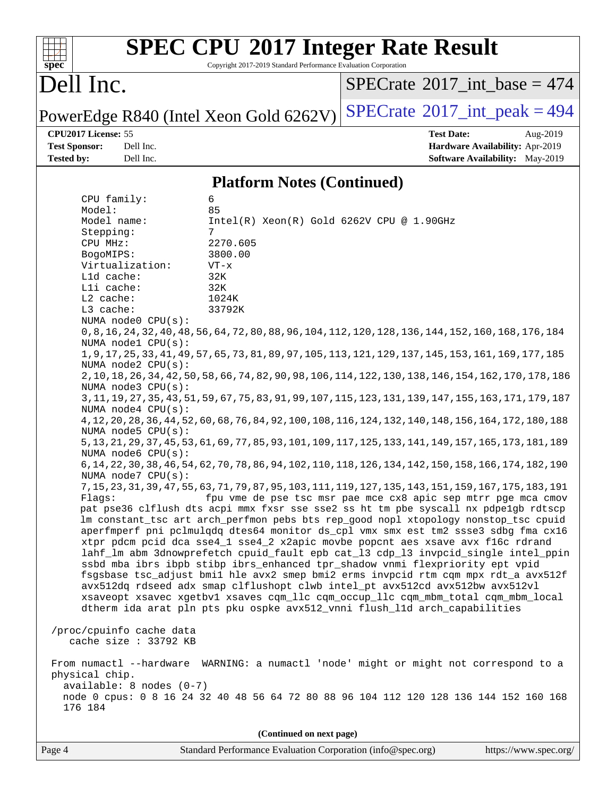#### $+\prime$ **[spec](http://www.spec.org/)**

# **[SPEC CPU](http://www.spec.org/auto/cpu2017/Docs/result-fields.html#SPECCPU2017IntegerRateResult)[2017 Integer Rate Result](http://www.spec.org/auto/cpu2017/Docs/result-fields.html#SPECCPU2017IntegerRateResult)**

Copyright 2017-2019 Standard Performance Evaluation Corporation

## Dell Inc.

 $SPECTate$ <sup>®</sup>[2017\\_int\\_base =](http://www.spec.org/auto/cpu2017/Docs/result-fields.html#SPECrate2017intbase) 474

PowerEdge R840 (Intel Xeon Gold  $6262V$ ) [SPECrate](http://www.spec.org/auto/cpu2017/Docs/result-fields.html#SPECrate2017intpeak)<sup>®</sup>[2017\\_int\\_peak = 4](http://www.spec.org/auto/cpu2017/Docs/result-fields.html#SPECrate2017intpeak)94

**[CPU2017 License:](http://www.spec.org/auto/cpu2017/Docs/result-fields.html#CPU2017License)** 55 **[Test Date:](http://www.spec.org/auto/cpu2017/Docs/result-fields.html#TestDate)** Aug-2019 **[Test Sponsor:](http://www.spec.org/auto/cpu2017/Docs/result-fields.html#TestSponsor)** Dell Inc. **[Hardware Availability:](http://www.spec.org/auto/cpu2017/Docs/result-fields.html#HardwareAvailability)** Apr-2019 **[Tested by:](http://www.spec.org/auto/cpu2017/Docs/result-fields.html#Testedby)** Dell Inc. **[Software Availability:](http://www.spec.org/auto/cpu2017/Docs/result-fields.html#SoftwareAvailability)** May-2019

### **[Platform Notes \(Continued\)](http://www.spec.org/auto/cpu2017/Docs/result-fields.html#PlatformNotes)**

 CPU family: 6 Model: 85 Model name: Intel(R) Xeon(R) Gold 6262V CPU @ 1.90GHz Stepping: 7 CPU MHz: 2270.605 BogoMIPS: 3800.00 Virtualization: VT-x L1d cache: 32K L1i cache: 32K L2 cache: 1024K L3 cache: 33792K NUMA node0 CPU(s): 0,8,16,24,32,40,48,56,64,72,80,88,96,104,112,120,128,136,144,152,160,168,176,184 NUMA node1 CPU(s): 1,9,17,25,33,41,49,57,65,73,81,89,97,105,113,121,129,137,145,153,161,169,177,185 NUMA node2 CPU(s): 2,10,18,26,34,42,50,58,66,74,82,90,98,106,114,122,130,138,146,154,162,170,178,186 NUMA node3 CPU(s): 3,11,19,27,35,43,51,59,67,75,83,91,99,107,115,123,131,139,147,155,163,171,179,187 NUMA node4 CPU(s): 4,12,20,28,36,44,52,60,68,76,84,92,100,108,116,124,132,140,148,156,164,172,180,188 NUMA node5 CPU(s): 5,13,21,29,37,45,53,61,69,77,85,93,101,109,117,125,133,141,149,157,165,173,181,189 NUMA node6 CPU(s): 6,14,22,30,38,46,54,62,70,78,86,94,102,110,118,126,134,142,150,158,166,174,182,190 NUMA node7 CPU(s): 7,15,23,31,39,47,55,63,71,79,87,95,103,111,119,127,135,143,151,159,167,175,183,191 Flags: fpu vme de pse tsc msr pae mce cx8 apic sep mtrr pge mca cmov pat pse36 clflush dts acpi mmx fxsr sse sse2 ss ht tm pbe syscall nx pdpe1gb rdtscp lm constant\_tsc art arch\_perfmon pebs bts rep\_good nopl xtopology nonstop\_tsc cpuid aperfmperf pni pclmulqdq dtes64 monitor ds\_cpl vmx smx est tm2 ssse3 sdbg fma cx16 xtpr pdcm pcid dca sse4\_1 sse4\_2 x2apic movbe popcnt aes xsave avx f16c rdrand lahf\_lm abm 3dnowprefetch cpuid\_fault epb cat\_l3 cdp\_l3 invpcid\_single intel\_ppin ssbd mba ibrs ibpb stibp ibrs\_enhanced tpr\_shadow vnmi flexpriority ept vpid fsgsbase tsc\_adjust bmi1 hle avx2 smep bmi2 erms invpcid rtm cqm mpx rdt\_a avx512f avx512dq rdseed adx smap clflushopt clwb intel\_pt avx512cd avx512bw avx512vl xsaveopt xsavec xgetbv1 xsaves cqm\_llc cqm\_occup\_llc cqm\_mbm\_total cqm\_mbm\_local dtherm ida arat pln pts pku ospke avx512\_vnni flush\_l1d arch\_capabilities /proc/cpuinfo cache data cache size : 33792 KB From numactl --hardware WARNING: a numactl 'node' might or might not correspond to a physical chip. available: 8 nodes (0-7) node 0 cpus: 0 8 16 24 32 40 48 56 64 72 80 88 96 104 112 120 128 136 144 152 160 168 176 184 **(Continued on next page)**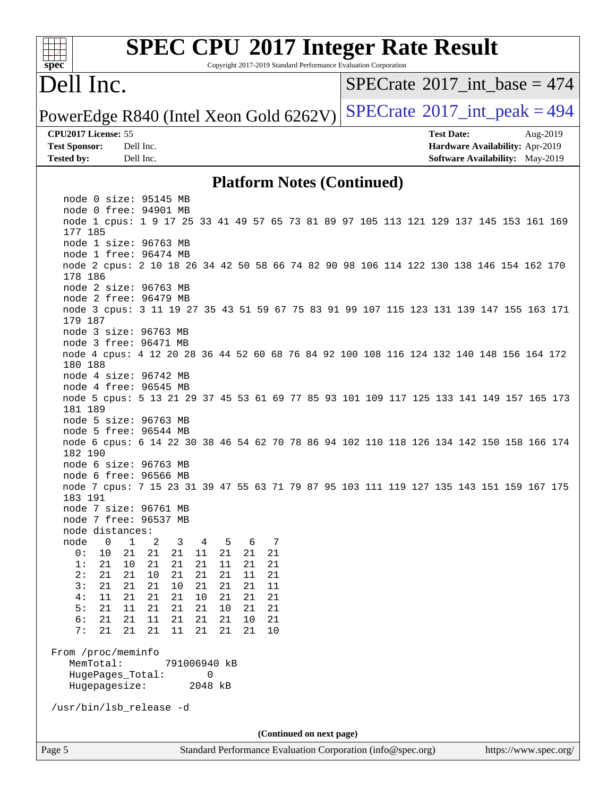

# **[SPEC CPU](http://www.spec.org/auto/cpu2017/Docs/result-fields.html#SPECCPU2017IntegerRateResult)[2017 Integer Rate Result](http://www.spec.org/auto/cpu2017/Docs/result-fields.html#SPECCPU2017IntegerRateResult)**

Copyright 2017-2019 Standard Performance Evaluation Corporation

### Dell Inc.

 $SPECrate$ <sup>®</sup>[2017\\_int\\_base =](http://www.spec.org/auto/cpu2017/Docs/result-fields.html#SPECrate2017intbase) 474

PowerEdge R840 (Intel Xeon Gold  $6262V$ ) [SPECrate](http://www.spec.org/auto/cpu2017/Docs/result-fields.html#SPECrate2017intpeak)<sup>®</sup>[2017\\_int\\_peak = 4](http://www.spec.org/auto/cpu2017/Docs/result-fields.html#SPECrate2017intpeak)94

**[Tested by:](http://www.spec.org/auto/cpu2017/Docs/result-fields.html#Testedby)** Dell Inc. **[Software Availability:](http://www.spec.org/auto/cpu2017/Docs/result-fields.html#SoftwareAvailability)** May-2019

**[CPU2017 License:](http://www.spec.org/auto/cpu2017/Docs/result-fields.html#CPU2017License)** 55 **[Test Date:](http://www.spec.org/auto/cpu2017/Docs/result-fields.html#TestDate)** Aug-2019 **[Test Sponsor:](http://www.spec.org/auto/cpu2017/Docs/result-fields.html#TestSponsor)** Dell Inc. **[Hardware Availability:](http://www.spec.org/auto/cpu2017/Docs/result-fields.html#HardwareAvailability)** Apr-2019

#### **[Platform Notes \(Continued\)](http://www.spec.org/auto/cpu2017/Docs/result-fields.html#PlatformNotes)**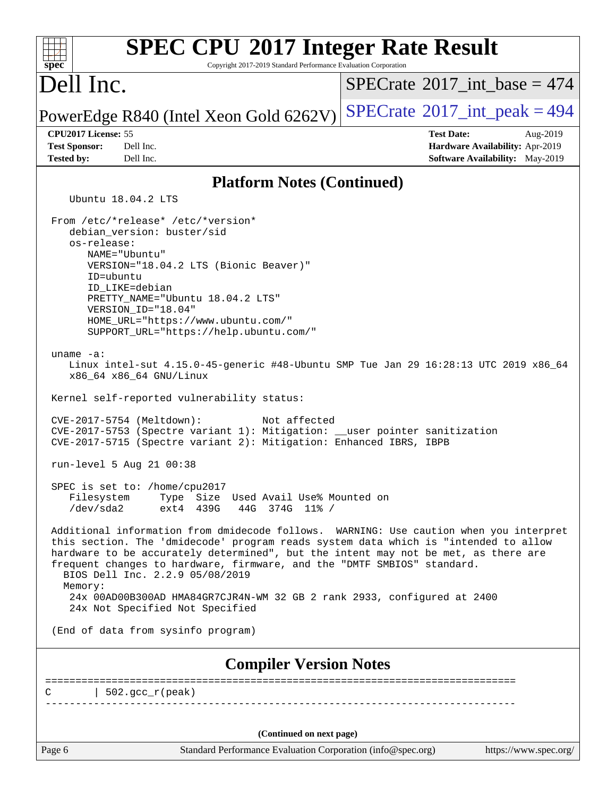| <b>SPEC CPU®2017 Integer Rate Result</b><br>Spec<br>Copyright 2017-2019 Standard Performance Evaluation Corporation                                                                                                                                                                                                                                                                                                                                                                                        |                                                                                                            |
|------------------------------------------------------------------------------------------------------------------------------------------------------------------------------------------------------------------------------------------------------------------------------------------------------------------------------------------------------------------------------------------------------------------------------------------------------------------------------------------------------------|------------------------------------------------------------------------------------------------------------|
| Dell Inc.                                                                                                                                                                                                                                                                                                                                                                                                                                                                                                  | $SPECrate^{\circ}2017\_int\_base = 474$                                                                    |
| PowerEdge R840 (Intel Xeon Gold 6262V)                                                                                                                                                                                                                                                                                                                                                                                                                                                                     | $SPECrate^{\circ}2017\_int\_peak = 494$                                                                    |
| CPU2017 License: 55<br><b>Test Sponsor:</b><br>Dell Inc.<br><b>Tested by:</b><br>Dell Inc.                                                                                                                                                                                                                                                                                                                                                                                                                 | <b>Test Date:</b><br>Aug-2019<br>Hardware Availability: Apr-2019<br><b>Software Availability:</b> May-2019 |
| <b>Platform Notes (Continued)</b>                                                                                                                                                                                                                                                                                                                                                                                                                                                                          |                                                                                                            |
| Ubuntu 18.04.2 LTS                                                                                                                                                                                                                                                                                                                                                                                                                                                                                         |                                                                                                            |
| From /etc/*release* /etc/*version*<br>debian version: buster/sid<br>os-release:<br>NAME="Ubuntu"<br>VERSION="18.04.2 LTS (Bionic Beaver)"<br>ID=ubuntu<br>ID LIKE=debian<br>PRETTY_NAME="Ubuntu 18.04.2 LTS"<br>VERSION_ID="18.04"<br>HOME_URL="https://www.ubuntu.com/"<br>SUPPORT_URL="https://help.ubuntu.com/"<br>uname $-a$ :<br>Linux intel-sut 4.15.0-45-generic #48-Ubuntu SMP Tue Jan 29 16:28:13 UTC 2019 x86_64<br>x86_64 x86_64 GNU/Linux                                                      |                                                                                                            |
| Kernel self-reported vulnerability status:                                                                                                                                                                                                                                                                                                                                                                                                                                                                 |                                                                                                            |
| Not affected<br>$CVE-2017-5754$ (Meltdown):<br>CVE-2017-5753 (Spectre variant 1): Mitigation: __user pointer sanitization<br>CVE-2017-5715 (Spectre variant 2): Mitigation: Enhanced IBRS, IBPB                                                                                                                                                                                                                                                                                                            |                                                                                                            |
| run-level 5 Aug 21 00:38                                                                                                                                                                                                                                                                                                                                                                                                                                                                                   |                                                                                                            |
| SPEC is set to: /home/cpu2017<br>Filesystem Type Size Used Avail Use% Mounted on<br>/dev/sda2<br>ext4 439G<br>44G 374G 11% /                                                                                                                                                                                                                                                                                                                                                                               |                                                                                                            |
| Additional information from dmidecode follows. WARNING: Use caution when you interpret<br>this section. The 'dmidecode' program reads system data which is "intended to allow<br>hardware to be accurately determined", but the intent may not be met, as there are<br>frequent changes to hardware, firmware, and the "DMTF SMBIOS" standard.<br>BIOS Dell Inc. 2.2.9 05/08/2019<br>Memory:<br>24x 00AD00B300AD HMA84GR7CJR4N-WM 32 GB 2 rank 2933, configured at 2400<br>24x Not Specified Not Specified |                                                                                                            |
| (End of data from sysinfo program)                                                                                                                                                                                                                                                                                                                                                                                                                                                                         |                                                                                                            |
| <b>Compiler Version Notes</b>                                                                                                                                                                                                                                                                                                                                                                                                                                                                              |                                                                                                            |
| $\vert$ 502.gcc_r(peak)<br>C                                                                                                                                                                                                                                                                                                                                                                                                                                                                               |                                                                                                            |
|                                                                                                                                                                                                                                                                                                                                                                                                                                                                                                            |                                                                                                            |
| (Continued on next page)<br>Page 6<br>Standard Performance Evaluation Corporation (info@spec.org)                                                                                                                                                                                                                                                                                                                                                                                                          | https://www.spec.org/                                                                                      |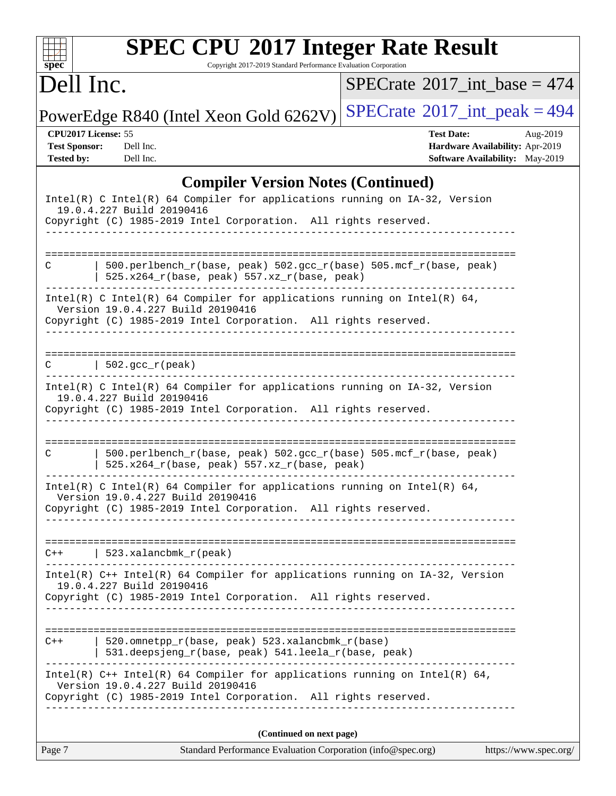| SI | I | эe | Ľ |  |
|----|---|----|---|--|

# **[SPEC CPU](http://www.spec.org/auto/cpu2017/Docs/result-fields.html#SPECCPU2017IntegerRateResult)[2017 Integer Rate Result](http://www.spec.org/auto/cpu2017/Docs/result-fields.html#SPECCPU2017IntegerRateResult)**

Copyright 2017-2019 Standard Performance Evaluation Corporation

## Dell Inc.

 $SPECrate$ <sup>®</sup> $2017$ \_int\_base = 474

PowerEdge R840 (Intel Xeon Gold  $6262V$ ) [SPECrate](http://www.spec.org/auto/cpu2017/Docs/result-fields.html#SPECrate2017intpeak)<sup>®</sup>[2017\\_int\\_peak = 4](http://www.spec.org/auto/cpu2017/Docs/result-fields.html#SPECrate2017intpeak)94

**[CPU2017 License:](http://www.spec.org/auto/cpu2017/Docs/result-fields.html#CPU2017License)** 55 **[Test Date:](http://www.spec.org/auto/cpu2017/Docs/result-fields.html#TestDate)** Aug-2019 **[Test Sponsor:](http://www.spec.org/auto/cpu2017/Docs/result-fields.html#TestSponsor)** Dell Inc. **[Hardware Availability:](http://www.spec.org/auto/cpu2017/Docs/result-fields.html#HardwareAvailability)** Apr-2019 **[Tested by:](http://www.spec.org/auto/cpu2017/Docs/result-fields.html#Testedby)** Dell Inc. Dell Inc. **[Software Availability:](http://www.spec.org/auto/cpu2017/Docs/result-fields.html#SoftwareAvailability)** May-2019

### **[Compiler Version Notes \(Continued\)](http://www.spec.org/auto/cpu2017/Docs/result-fields.html#CompilerVersionNotes)**

| Page 7 | Standard Performance Evaluation Corporation (info@spec.org)                                                                                                                      | https://www.spec.org/ |
|--------|----------------------------------------------------------------------------------------------------------------------------------------------------------------------------------|-----------------------|
|        | (Continued on next page)                                                                                                                                                         |                       |
|        | Version 19.0.4.227 Build 20190416<br>Copyright (C) 1985-2019 Intel Corporation. All rights reserved.<br>---------------------------------                                        |                       |
|        | 531.deepsjeng_r(base, peak) 541.leela_r(base, peak)<br>Intel(R) C++ Intel(R) 64 Compiler for applications running on Intel(R) 64,                                                |                       |
|        | 520.omnetpp_r(base, peak) 523.xalancbmk_r(base)                                                                                                                                  |                       |
|        | 19.0.4.227 Build 20190416<br>Copyright (C) 1985-2019 Intel Corporation. All rights reserved.                                                                                     |                       |
|        | $C++$   523.xalancbmk_r(peak)<br>Intel(R) C++ Intel(R) 64 Compiler for applications running on IA-32, Version                                                                    |                       |
|        | Copyright (C) 1985-2019 Intel Corporation. All rights reserved.                                                                                                                  |                       |
|        | Intel(R) C Intel(R) 64 Compiler for applications running on Intel(R) 64,<br>Version 19.0.4.227 Build 20190416                                                                    |                       |
| С      | 500.perlbench_r(base, peak) 502.gcc_r(base) 505.mcf_r(base, peak)<br>525.x264_r(base, peak) 557.xz_r(base, peak)                                                                 |                       |
|        | Copyright (C) 1985-2019 Intel Corporation. All rights reserved.                                                                                                                  |                       |
|        | Intel(R) C Intel(R) 64 Compiler for applications running on IA-32, Version<br>19.0.4.227 Build 20190416                                                                          |                       |
| C      | $\vert$ 502.gcc_r(peak)                                                                                                                                                          |                       |
|        | Intel(R) C Intel(R) 64 Compiler for applications running on Intel(R) 64,<br>Version 19.0.4.227 Build 20190416<br>Copyright (C) 1985-2019 Intel Corporation. All rights reserved. |                       |
| C      | 500.perlbench_r(base, peak) 502.gcc_r(base) 505.mcf_r(base, peak)<br>525.x264_r(base, peak) 557.xz_r(base, peak)                                                                 |                       |
|        |                                                                                                                                                                                  |                       |
|        | Intel(R) C Intel(R) 64 Compiler for applications running on IA-32, Version<br>19.0.4.227 Build 20190416<br>Copyright (C) 1985-2019 Intel Corporation. All rights reserved.       |                       |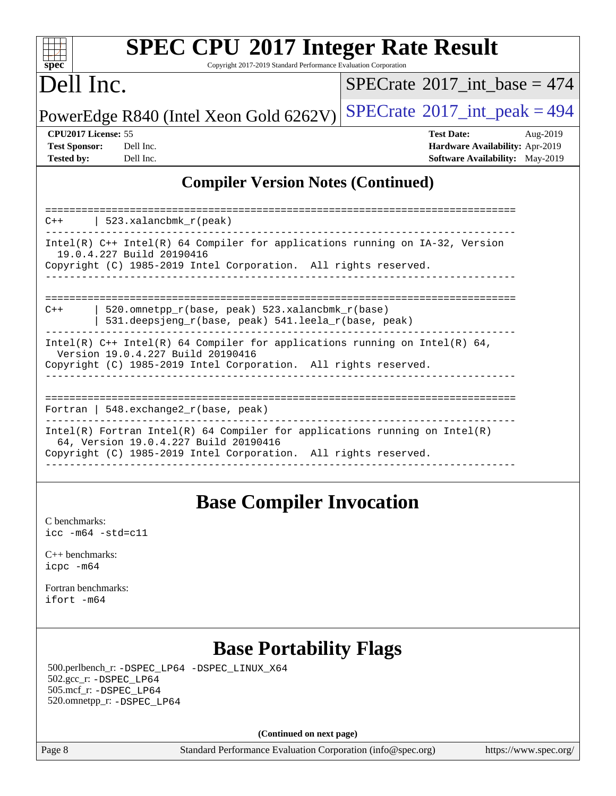| S | U | e | Ľ |  |
|---|---|---|---|--|

# **[SPEC CPU](http://www.spec.org/auto/cpu2017/Docs/result-fields.html#SPECCPU2017IntegerRateResult)[2017 Integer Rate Result](http://www.spec.org/auto/cpu2017/Docs/result-fields.html#SPECCPU2017IntegerRateResult)**

Copyright 2017-2019 Standard Performance Evaluation Corporation

### Dell Inc.

 $SPECTate$ <sup>®</sup>[2017\\_int\\_base =](http://www.spec.org/auto/cpu2017/Docs/result-fields.html#SPECrate2017intbase) 474

PowerEdge R840 (Intel Xeon Gold  $6262V$ ) [SPECrate](http://www.spec.org/auto/cpu2017/Docs/result-fields.html#SPECrate2017intpeak)<sup>®</sup>[2017\\_int\\_peak = 4](http://www.spec.org/auto/cpu2017/Docs/result-fields.html#SPECrate2017intpeak)94

**[CPU2017 License:](http://www.spec.org/auto/cpu2017/Docs/result-fields.html#CPU2017License)** 55 **[Test Date:](http://www.spec.org/auto/cpu2017/Docs/result-fields.html#TestDate)** Aug-2019 **[Test Sponsor:](http://www.spec.org/auto/cpu2017/Docs/result-fields.html#TestSponsor)** Dell Inc. **[Hardware Availability:](http://www.spec.org/auto/cpu2017/Docs/result-fields.html#HardwareAvailability)** Apr-2019 **[Tested by:](http://www.spec.org/auto/cpu2017/Docs/result-fields.html#Testedby)** Dell Inc. **[Software Availability:](http://www.spec.org/auto/cpu2017/Docs/result-fields.html#SoftwareAvailability)** May-2019

### **[Compiler Version Notes \(Continued\)](http://www.spec.org/auto/cpu2017/Docs/result-fields.html#CompilerVersionNotes)**

| $C++$   523.xalancbmk $r(\text{peak})$                                                                                                                                                   |
|------------------------------------------------------------------------------------------------------------------------------------------------------------------------------------------|
| Intel(R) $C++$ Intel(R) 64 Compiler for applications running on IA-32, Version<br>19.0.4.227 Build 20190416<br>Copyright (C) 1985-2019 Intel Corporation. All rights reserved.           |
| $C++$                                                                                                                                                                                    |
| 520.omnetpp $r(base, peak)$ 523.xalancbmk $r(base)$<br>531.deepsjeng_r(base, peak) 541.leela_r(base, peak)                                                                               |
| Intel(R) $C++$ Intel(R) 64 Compiler for applications running on Intel(R) 64,<br>Version 19.0.4.227 Build 20190416<br>Copyright (C) 1985-2019 Intel Corporation. All rights reserved.     |
| Fortran   548.exchange2 $r(base, peak)$                                                                                                                                                  |
| $Intel(R)$ Fortran Intel(R) 64 Compiler for applications running on Intel(R)<br>64, Version 19.0.4.227 Build 20190416<br>Copyright (C) 1985-2019 Intel Corporation. All rights reserved. |
|                                                                                                                                                                                          |

### **[Base Compiler Invocation](http://www.spec.org/auto/cpu2017/Docs/result-fields.html#BaseCompilerInvocation)**

[C benchmarks](http://www.spec.org/auto/cpu2017/Docs/result-fields.html#Cbenchmarks): [icc -m64 -std=c11](http://www.spec.org/cpu2017/results/res2019q3/cpu2017-20190831-17297.flags.html#user_CCbase_intel_icc_64bit_c11_33ee0cdaae7deeeab2a9725423ba97205ce30f63b9926c2519791662299b76a0318f32ddfffdc46587804de3178b4f9328c46fa7c2b0cd779d7a61945c91cd35)

[C++ benchmarks:](http://www.spec.org/auto/cpu2017/Docs/result-fields.html#CXXbenchmarks) [icpc -m64](http://www.spec.org/cpu2017/results/res2019q3/cpu2017-20190831-17297.flags.html#user_CXXbase_intel_icpc_64bit_4ecb2543ae3f1412ef961e0650ca070fec7b7afdcd6ed48761b84423119d1bf6bdf5cad15b44d48e7256388bc77273b966e5eb805aefd121eb22e9299b2ec9d9)

[Fortran benchmarks](http://www.spec.org/auto/cpu2017/Docs/result-fields.html#Fortranbenchmarks): [ifort -m64](http://www.spec.org/cpu2017/results/res2019q3/cpu2017-20190831-17297.flags.html#user_FCbase_intel_ifort_64bit_24f2bb282fbaeffd6157abe4f878425411749daecae9a33200eee2bee2fe76f3b89351d69a8130dd5949958ce389cf37ff59a95e7a40d588e8d3a57e0c3fd751)

### **[Base Portability Flags](http://www.spec.org/auto/cpu2017/Docs/result-fields.html#BasePortabilityFlags)**

 500.perlbench\_r: [-DSPEC\\_LP64](http://www.spec.org/cpu2017/results/res2019q3/cpu2017-20190831-17297.flags.html#b500.perlbench_r_basePORTABILITY_DSPEC_LP64) [-DSPEC\\_LINUX\\_X64](http://www.spec.org/cpu2017/results/res2019q3/cpu2017-20190831-17297.flags.html#b500.perlbench_r_baseCPORTABILITY_DSPEC_LINUX_X64) 502.gcc\_r: [-DSPEC\\_LP64](http://www.spec.org/cpu2017/results/res2019q3/cpu2017-20190831-17297.flags.html#suite_basePORTABILITY502_gcc_r_DSPEC_LP64) 505.mcf\_r: [-DSPEC\\_LP64](http://www.spec.org/cpu2017/results/res2019q3/cpu2017-20190831-17297.flags.html#suite_basePORTABILITY505_mcf_r_DSPEC_LP64) 520.omnetpp\_r: [-DSPEC\\_LP64](http://www.spec.org/cpu2017/results/res2019q3/cpu2017-20190831-17297.flags.html#suite_basePORTABILITY520_omnetpp_r_DSPEC_LP64)

**(Continued on next page)**

Page 8 Standard Performance Evaluation Corporation [\(info@spec.org\)](mailto:info@spec.org) <https://www.spec.org/>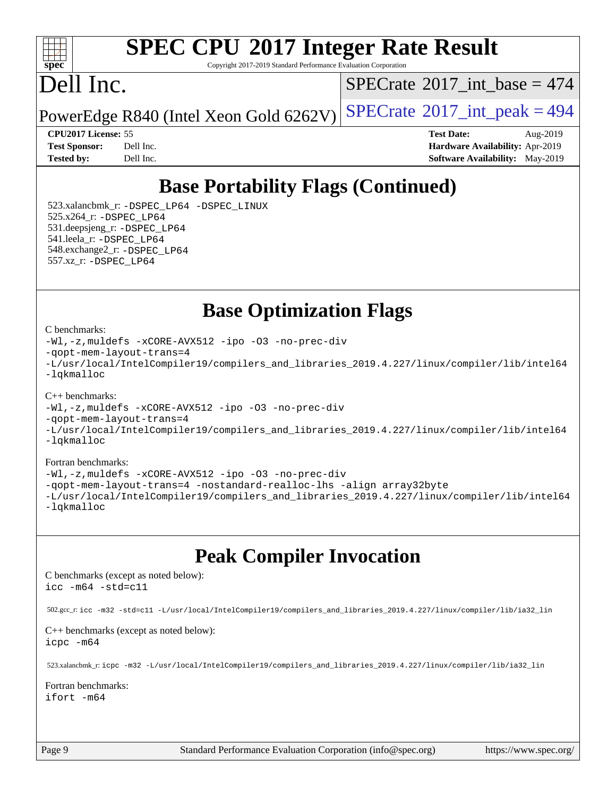### $+\ +$ **[spec](http://www.spec.org/)**

# **[SPEC CPU](http://www.spec.org/auto/cpu2017/Docs/result-fields.html#SPECCPU2017IntegerRateResult)[2017 Integer Rate Result](http://www.spec.org/auto/cpu2017/Docs/result-fields.html#SPECCPU2017IntegerRateResult)**

Copyright 2017-2019 Standard Performance Evaluation Corporation

## Dell Inc.

 $SPECrate$ <sup>®</sup>[2017\\_int\\_base =](http://www.spec.org/auto/cpu2017/Docs/result-fields.html#SPECrate2017intbase) 474

PowerEdge R840 (Intel Xeon Gold  $6262V$ ) [SPECrate](http://www.spec.org/auto/cpu2017/Docs/result-fields.html#SPECrate2017intpeak)<sup>®</sup>[2017\\_int\\_peak = 4](http://www.spec.org/auto/cpu2017/Docs/result-fields.html#SPECrate2017intpeak)94

**[CPU2017 License:](http://www.spec.org/auto/cpu2017/Docs/result-fields.html#CPU2017License)** 55 **[Test Date:](http://www.spec.org/auto/cpu2017/Docs/result-fields.html#TestDate)** Aug-2019 **[Test Sponsor:](http://www.spec.org/auto/cpu2017/Docs/result-fields.html#TestSponsor)** Dell Inc. **[Hardware Availability:](http://www.spec.org/auto/cpu2017/Docs/result-fields.html#HardwareAvailability)** Apr-2019 **[Tested by:](http://www.spec.org/auto/cpu2017/Docs/result-fields.html#Testedby)** Dell Inc. **[Software Availability:](http://www.spec.org/auto/cpu2017/Docs/result-fields.html#SoftwareAvailability)** May-2019

## **[Base Portability Flags \(Continued\)](http://www.spec.org/auto/cpu2017/Docs/result-fields.html#BasePortabilityFlags)**

 523.xalancbmk\_r: [-DSPEC\\_LP64](http://www.spec.org/cpu2017/results/res2019q3/cpu2017-20190831-17297.flags.html#suite_basePORTABILITY523_xalancbmk_r_DSPEC_LP64) [-DSPEC\\_LINUX](http://www.spec.org/cpu2017/results/res2019q3/cpu2017-20190831-17297.flags.html#b523.xalancbmk_r_baseCXXPORTABILITY_DSPEC_LINUX) 525.x264\_r: [-DSPEC\\_LP64](http://www.spec.org/cpu2017/results/res2019q3/cpu2017-20190831-17297.flags.html#suite_basePORTABILITY525_x264_r_DSPEC_LP64) 531.deepsjeng\_r: [-DSPEC\\_LP64](http://www.spec.org/cpu2017/results/res2019q3/cpu2017-20190831-17297.flags.html#suite_basePORTABILITY531_deepsjeng_r_DSPEC_LP64) 541.leela\_r: [-DSPEC\\_LP64](http://www.spec.org/cpu2017/results/res2019q3/cpu2017-20190831-17297.flags.html#suite_basePORTABILITY541_leela_r_DSPEC_LP64) 548.exchange2\_r: [-DSPEC\\_LP64](http://www.spec.org/cpu2017/results/res2019q3/cpu2017-20190831-17297.flags.html#suite_basePORTABILITY548_exchange2_r_DSPEC_LP64) 557.xz\_r: [-DSPEC\\_LP64](http://www.spec.org/cpu2017/results/res2019q3/cpu2017-20190831-17297.flags.html#suite_basePORTABILITY557_xz_r_DSPEC_LP64)

**[Base Optimization Flags](http://www.spec.org/auto/cpu2017/Docs/result-fields.html#BaseOptimizationFlags)**

#### [C benchmarks](http://www.spec.org/auto/cpu2017/Docs/result-fields.html#Cbenchmarks):

```
-Wl,-z,muldefs -xCORE-AVX512 -ipo -O3 -no-prec-div
-qopt-mem-layout-trans=4
-L/usr/local/IntelCompiler19/compilers_and_libraries_2019.4.227/linux/compiler/lib/intel64
-lqkmalloc
```
#### [C++ benchmarks](http://www.spec.org/auto/cpu2017/Docs/result-fields.html#CXXbenchmarks):

```
-Wl,-z,muldefs -xCORE-AVX512 -ipo -O3 -no-prec-div
-qopt-mem-layout-trans=4
-L/usr/local/IntelCompiler19/compilers_and_libraries_2019.4.227/linux/compiler/lib/intel64
-lqkmalloc
```
#### [Fortran benchmarks](http://www.spec.org/auto/cpu2017/Docs/result-fields.html#Fortranbenchmarks):

```
-Wl,-z,muldefs -xCORE-AVX512 -ipo -O3 -no-prec-div
-qopt-mem-layout-trans=4 -nostandard-realloc-lhs -align array32byte
-L/usr/local/IntelCompiler19/compilers_and_libraries_2019.4.227/linux/compiler/lib/intel64
-lqkmalloc
```
### **[Peak Compiler Invocation](http://www.spec.org/auto/cpu2017/Docs/result-fields.html#PeakCompilerInvocation)**

[C benchmarks \(except as noted below\)](http://www.spec.org/auto/cpu2017/Docs/result-fields.html#Cbenchmarksexceptasnotedbelow): [icc -m64 -std=c11](http://www.spec.org/cpu2017/results/res2019q3/cpu2017-20190831-17297.flags.html#user_CCpeak_intel_icc_64bit_c11_33ee0cdaae7deeeab2a9725423ba97205ce30f63b9926c2519791662299b76a0318f32ddfffdc46587804de3178b4f9328c46fa7c2b0cd779d7a61945c91cd35)

502.gcc\_r: [icc -m32 -std=c11 -L/usr/local/IntelCompiler19/compilers\\_and\\_libraries\\_2019.4.227/linux/compiler/lib/ia32\\_lin](http://www.spec.org/cpu2017/results/res2019q3/cpu2017-20190831-17297.flags.html#user_peakCCLD502_gcc_r_intel_icc_38a193a897536fa645efb1dc6ac2bea2bddbbe56f130e144a606d1b2649003f27c79f8814020c1f9355cbbf0d7ab0d194a7a979ee1e2a95641bbb8cf571aac7b)

#### [C++ benchmarks \(except as noted below\)](http://www.spec.org/auto/cpu2017/Docs/result-fields.html#CXXbenchmarksexceptasnotedbelow):

[icpc -m64](http://www.spec.org/cpu2017/results/res2019q3/cpu2017-20190831-17297.flags.html#user_CXXpeak_intel_icpc_64bit_4ecb2543ae3f1412ef961e0650ca070fec7b7afdcd6ed48761b84423119d1bf6bdf5cad15b44d48e7256388bc77273b966e5eb805aefd121eb22e9299b2ec9d9)

523.xalancbmk\_r: [icpc -m32 -L/usr/local/IntelCompiler19/compilers\\_and\\_libraries\\_2019.4.227/linux/compiler/lib/ia32\\_lin](http://www.spec.org/cpu2017/results/res2019q3/cpu2017-20190831-17297.flags.html#user_peakCXXLD523_xalancbmk_r_intel_icpc_840f965b38320ad10acba6032d6ca4c816e722c432c250f3408feae347068ba449f694544a48cf12cd3bde3495e328e6747ab0f629c2925d3062e2ee144af951)

#### [Fortran benchmarks](http://www.spec.org/auto/cpu2017/Docs/result-fields.html#Fortranbenchmarks):

[ifort -m64](http://www.spec.org/cpu2017/results/res2019q3/cpu2017-20190831-17297.flags.html#user_FCpeak_intel_ifort_64bit_24f2bb282fbaeffd6157abe4f878425411749daecae9a33200eee2bee2fe76f3b89351d69a8130dd5949958ce389cf37ff59a95e7a40d588e8d3a57e0c3fd751)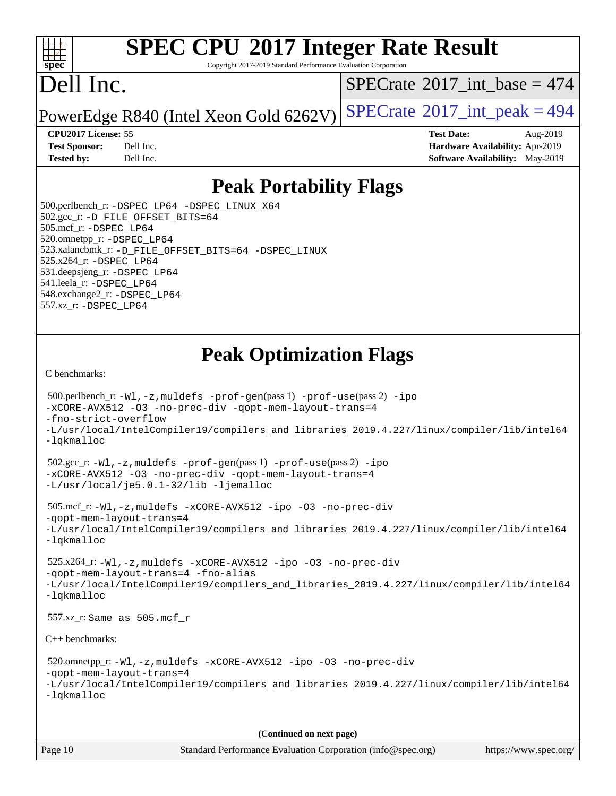#### $+\ +$ **[spec](http://www.spec.org/)**

# **[SPEC CPU](http://www.spec.org/auto/cpu2017/Docs/result-fields.html#SPECCPU2017IntegerRateResult)[2017 Integer Rate Result](http://www.spec.org/auto/cpu2017/Docs/result-fields.html#SPECCPU2017IntegerRateResult)**

Copyright 2017-2019 Standard Performance Evaluation Corporation

## Dell Inc.

 $SPECrate$ <sup>®</sup>[2017\\_int\\_base =](http://www.spec.org/auto/cpu2017/Docs/result-fields.html#SPECrate2017intbase) 474

PowerEdge R840 (Intel Xeon Gold  $6262V$ ) [SPECrate](http://www.spec.org/auto/cpu2017/Docs/result-fields.html#SPECrate2017intpeak)<sup>®</sup>[2017\\_int\\_peak = 4](http://www.spec.org/auto/cpu2017/Docs/result-fields.html#SPECrate2017intpeak)94

**[CPU2017 License:](http://www.spec.org/auto/cpu2017/Docs/result-fields.html#CPU2017License)** 55 **[Test Date:](http://www.spec.org/auto/cpu2017/Docs/result-fields.html#TestDate)** Aug-2019 **[Test Sponsor:](http://www.spec.org/auto/cpu2017/Docs/result-fields.html#TestSponsor)** Dell Inc. **[Hardware Availability:](http://www.spec.org/auto/cpu2017/Docs/result-fields.html#HardwareAvailability)** Apr-2019 **[Tested by:](http://www.spec.org/auto/cpu2017/Docs/result-fields.html#Testedby)** Dell Inc. **[Software Availability:](http://www.spec.org/auto/cpu2017/Docs/result-fields.html#SoftwareAvailability)** May-2019

### **[Peak Portability Flags](http://www.spec.org/auto/cpu2017/Docs/result-fields.html#PeakPortabilityFlags)**

 500.perlbench\_r: [-DSPEC\\_LP64](http://www.spec.org/cpu2017/results/res2019q3/cpu2017-20190831-17297.flags.html#b500.perlbench_r_peakPORTABILITY_DSPEC_LP64) [-DSPEC\\_LINUX\\_X64](http://www.spec.org/cpu2017/results/res2019q3/cpu2017-20190831-17297.flags.html#b500.perlbench_r_peakCPORTABILITY_DSPEC_LINUX_X64) 502.gcc\_r: [-D\\_FILE\\_OFFSET\\_BITS=64](http://www.spec.org/cpu2017/results/res2019q3/cpu2017-20190831-17297.flags.html#user_peakPORTABILITY502_gcc_r_file_offset_bits_64_5ae949a99b284ddf4e95728d47cb0843d81b2eb0e18bdfe74bbf0f61d0b064f4bda2f10ea5eb90e1dcab0e84dbc592acfc5018bc955c18609f94ddb8d550002c) 505.mcf\_r: [-DSPEC\\_LP64](http://www.spec.org/cpu2017/results/res2019q3/cpu2017-20190831-17297.flags.html#suite_peakPORTABILITY505_mcf_r_DSPEC_LP64) 520.omnetpp\_r: [-DSPEC\\_LP64](http://www.spec.org/cpu2017/results/res2019q3/cpu2017-20190831-17297.flags.html#suite_peakPORTABILITY520_omnetpp_r_DSPEC_LP64) 523.xalancbmk\_r: [-D\\_FILE\\_OFFSET\\_BITS=64](http://www.spec.org/cpu2017/results/res2019q3/cpu2017-20190831-17297.flags.html#user_peakPORTABILITY523_xalancbmk_r_file_offset_bits_64_5ae949a99b284ddf4e95728d47cb0843d81b2eb0e18bdfe74bbf0f61d0b064f4bda2f10ea5eb90e1dcab0e84dbc592acfc5018bc955c18609f94ddb8d550002c) [-DSPEC\\_LINUX](http://www.spec.org/cpu2017/results/res2019q3/cpu2017-20190831-17297.flags.html#b523.xalancbmk_r_peakCXXPORTABILITY_DSPEC_LINUX) 525.x264\_r: [-DSPEC\\_LP64](http://www.spec.org/cpu2017/results/res2019q3/cpu2017-20190831-17297.flags.html#suite_peakPORTABILITY525_x264_r_DSPEC_LP64) 531.deepsjeng\_r: [-DSPEC\\_LP64](http://www.spec.org/cpu2017/results/res2019q3/cpu2017-20190831-17297.flags.html#suite_peakPORTABILITY531_deepsjeng_r_DSPEC_LP64) 541.leela\_r: [-DSPEC\\_LP64](http://www.spec.org/cpu2017/results/res2019q3/cpu2017-20190831-17297.flags.html#suite_peakPORTABILITY541_leela_r_DSPEC_LP64) 548.exchange2\_r: [-DSPEC\\_LP64](http://www.spec.org/cpu2017/results/res2019q3/cpu2017-20190831-17297.flags.html#suite_peakPORTABILITY548_exchange2_r_DSPEC_LP64) 557.xz\_r: [-DSPEC\\_LP64](http://www.spec.org/cpu2017/results/res2019q3/cpu2017-20190831-17297.flags.html#suite_peakPORTABILITY557_xz_r_DSPEC_LP64)

### **[Peak Optimization Flags](http://www.spec.org/auto/cpu2017/Docs/result-fields.html#PeakOptimizationFlags)**

[C benchmarks](http://www.spec.org/auto/cpu2017/Docs/result-fields.html#Cbenchmarks):

```
 500.perlbench_r: -Wl,-z,muldefs -prof-gen(pass 1) -prof-use(pass 2) -ipo
-xCORE-AVX512 -O3 -no-prec-div -qopt-mem-layout-trans=4
-fno-strict-overflow
-L/usr/local/IntelCompiler19/compilers_and_libraries_2019.4.227/linux/compiler/lib/intel64
-lqkmalloc
 502.gcc_r: -Wl,-z,muldefs -prof-gen(pass 1) -prof-use(pass 2) -ipo
-xCORE-AVX512 -O3 -no-prec-div -qopt-mem-layout-trans=4
-L/usr/local/je5.0.1-32/lib -ljemalloc
 505.mcf_r: -Wl,-z,muldefs -xCORE-AVX512 -ipo -O3 -no-prec-div
-qopt-mem-layout-trans=4
-L/usr/local/IntelCompiler19/compilers_and_libraries_2019.4.227/linux/compiler/lib/intel64
-lqkmalloc
 525.x264_r: -Wl,-z,muldefs -xCORE-AVX512 -ipo -O3 -no-prec-div
-qopt-mem-layout-trans=4 -fno-alias
-L/usr/local/IntelCompiler19/compilers_and_libraries_2019.4.227/linux/compiler/lib/intel64
-lqkmalloc
 557.xz_r: Same as 505.mcf_r
C++ benchmarks: 
 520.omnetpp_r: -Wl,-z,muldefs -xCORE-AVX512 -ipo -O3 -no-prec-div
-qopt-mem-layout-trans=4
-L/usr/local/IntelCompiler19/compilers_and_libraries_2019.4.227/linux/compiler/lib/intel64
-lqkmalloc
                                      (Continued on next page)
```
Page 10 Standard Performance Evaluation Corporation [\(info@spec.org\)](mailto:info@spec.org) <https://www.spec.org/>